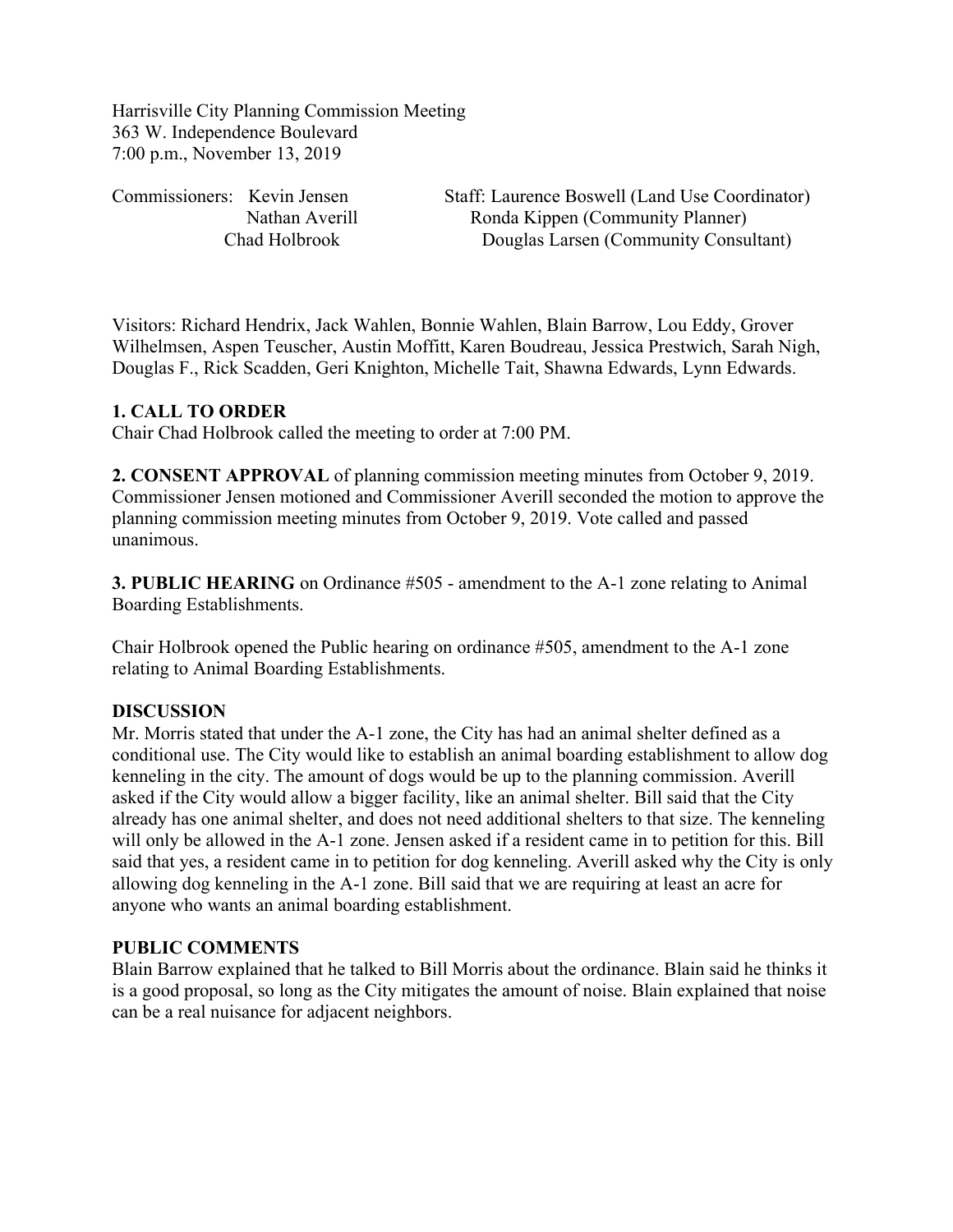Harrisville City Planning Commission Meeting 363 W. Independence Boulevard 7:00 p.m., November 13, 2019

Commissioners: Kevin Jensen Staff: Laurence Boswell (Land Use Coordinator) Nathan Averill Ronda Kippen (Community Planner) Chad Holbrook Douglas Larsen (Community Consultant)

Visitors: Richard Hendrix, Jack Wahlen, Bonnie Wahlen, Blain Barrow, Lou Eddy, Grover Wilhelmsen, Aspen Teuscher, Austin Moffitt, Karen Boudreau, Jessica Prestwich, Sarah Nigh, Douglas F., Rick Scadden, Geri Knighton, Michelle Tait, Shawna Edwards, Lynn Edwards.

## **1. CALL TO ORDER**

Chair Chad Holbrook called the meeting to order at 7:00 PM.

**2. CONSENT APPROVAL** of planning commission meeting minutes from October 9, 2019. Commissioner Jensen motioned and Commissioner Averill seconded the motion to approve the planning commission meeting minutes from October 9, 2019. Vote called and passed unanimous.

**3. PUBLIC HEARING** on Ordinance #505 - amendment to the A-1 zone relating to Animal Boarding Establishments.

Chair Holbrook opened the Public hearing on ordinance #505, amendment to the A-1 zone relating to Animal Boarding Establishments.

#### **DISCUSSION**

Mr. Morris stated that under the A-1 zone, the City has had an animal shelter defined as a conditional use. The City would like to establish an animal boarding establishment to allow dog kenneling in the city. The amount of dogs would be up to the planning commission. Averill asked if the City would allow a bigger facility, like an animal shelter. Bill said that the City already has one animal shelter, and does not need additional shelters to that size. The kenneling will only be allowed in the A-1 zone. Jensen asked if a resident came in to petition for this. Bill said that yes, a resident came in to petition for dog kenneling. Averill asked why the City is only allowing dog kenneling in the A-1 zone. Bill said that we are requiring at least an acre for anyone who wants an animal boarding establishment.

#### **PUBLIC COMMENTS**

Blain Barrow explained that he talked to Bill Morris about the ordinance. Blain said he thinks it is a good proposal, so long as the City mitigates the amount of noise. Blain explained that noise can be a real nuisance for adjacent neighbors.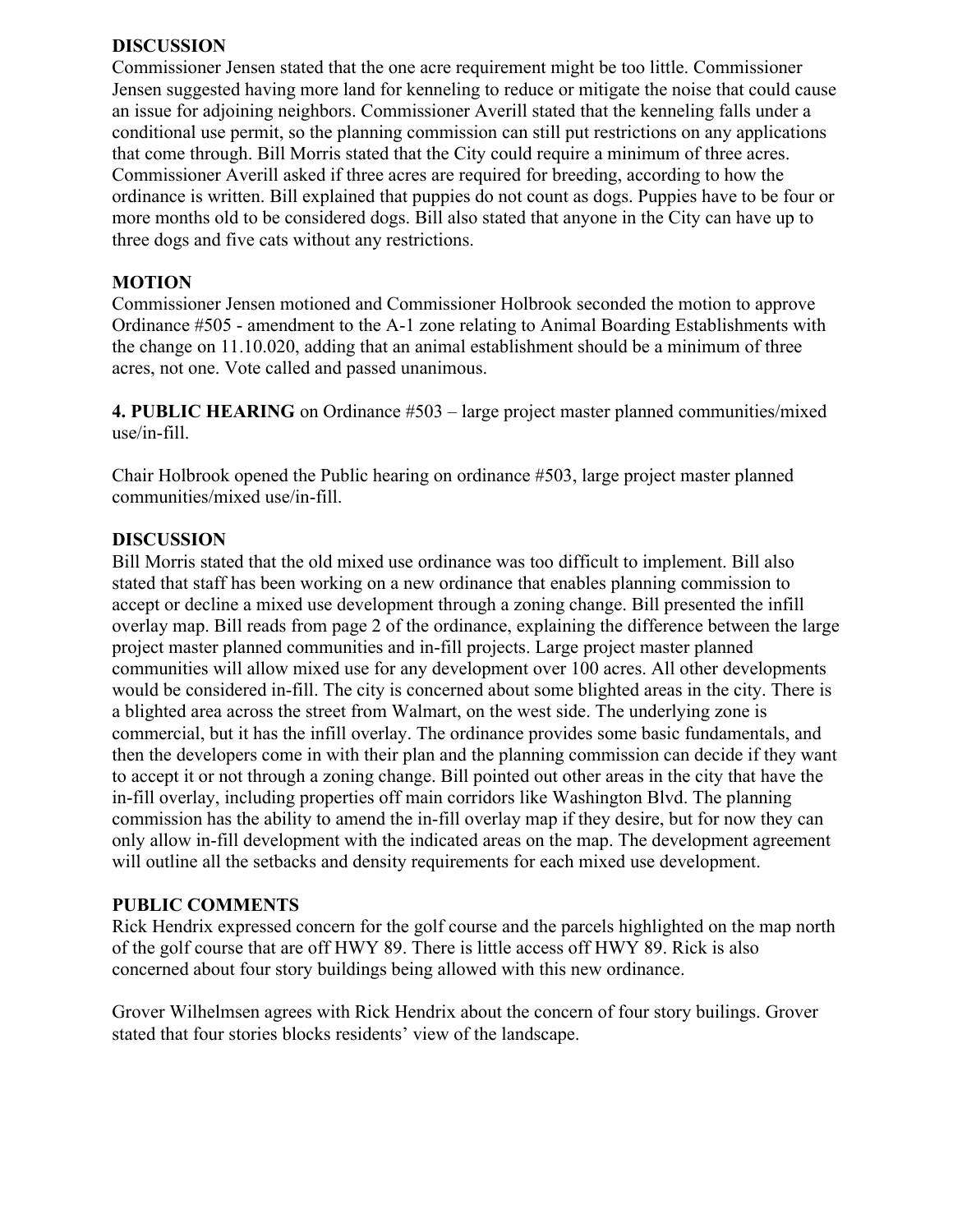## **DISCUSSION**

Commissioner Jensen stated that the one acre requirement might be too little. Commissioner Jensen suggested having more land for kenneling to reduce or mitigate the noise that could cause an issue for adjoining neighbors. Commissioner Averill stated that the kenneling falls under a conditional use permit, so the planning commission can still put restrictions on any applications that come through. Bill Morris stated that the City could require a minimum of three acres. Commissioner Averill asked if three acres are required for breeding, according to how the ordinance is written. Bill explained that puppies do not count as dogs. Puppies have to be four or more months old to be considered dogs. Bill also stated that anyone in the City can have up to three dogs and five cats without any restrictions.

# **MOTION**

Commissioner Jensen motioned and Commissioner Holbrook seconded the motion to approve Ordinance #505 - amendment to the A-1 zone relating to Animal Boarding Establishments with the change on 11.10.020, adding that an animal establishment should be a minimum of three acres, not one. Vote called and passed unanimous.

**4. PUBLIC HEARING** on Ordinance #503 – large project master planned communities/mixed use/in-fill.

Chair Holbrook opened the Public hearing on ordinance #503, large project master planned communities/mixed use/in-fill.

## **DISCUSSION**

Bill Morris stated that the old mixed use ordinance was too difficult to implement. Bill also stated that staff has been working on a new ordinance that enables planning commission to accept or decline a mixed use development through a zoning change. Bill presented the infill overlay map. Bill reads from page 2 of the ordinance, explaining the difference between the large project master planned communities and in-fill projects. Large project master planned communities will allow mixed use for any development over 100 acres. All other developments would be considered in-fill. The city is concerned about some blighted areas in the city. There is a blighted area across the street from Walmart, on the west side. The underlying zone is commercial, but it has the infill overlay. The ordinance provides some basic fundamentals, and then the developers come in with their plan and the planning commission can decide if they want to accept it or not through a zoning change. Bill pointed out other areas in the city that have the in-fill overlay, including properties off main corridors like Washington Blvd. The planning commission has the ability to amend the in-fill overlay map if they desire, but for now they can only allow in-fill development with the indicated areas on the map. The development agreement will outline all the setbacks and density requirements for each mixed use development.

#### **PUBLIC COMMENTS**

Rick Hendrix expressed concern for the golf course and the parcels highlighted on the map north of the golf course that are off HWY 89. There is little access off HWY 89. Rick is also concerned about four story buildings being allowed with this new ordinance.

Grover Wilhelmsen agrees with Rick Hendrix about the concern of four story builings. Grover stated that four stories blocks residents' view of the landscape.